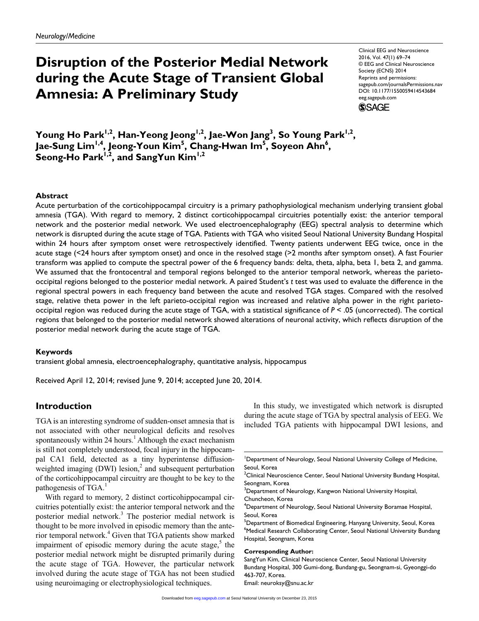# **Disruption of the Posterior Medial Network during the Acute Stage of Transient Global Amnesia: A Preliminary Study**

Clinical EEG and Neuroscience 2016, Vol. 47(1) 69–74 © EEG and Clinical Neuroscience Society (ECNS) 2014 Reprints and permissions: sagepub.com/journalsPermissions.nav DOI: 10.1177/1550059414543684 eeg.sagepub.com (\$)SAGE

**Young Ho Park<sup>I,2</sup>, Han-Yeong Jeong<sup>I,2</sup>, Jae-Won Jang<sup>3</sup>, So Young Park<sup>I,2</sup>,** Jae-Sung Lim<sup>1,4</sup>, Jeong-Youn Kim<sup>5</sup>, Chang-Hwan Im<sup>5</sup>, Soyeon Ahn<sup>6</sup>, Seong-Ho Park<sup>1,2</sup>, and SangYun Kim<sup>1,2</sup>

#### **Abstract**

Acute perturbation of the corticohippocampal circuitry is a primary pathophysiological mechanism underlying transient global amnesia (TGA). With regard to memory, 2 distinct corticohippocampal circuitries potentially exist: the anterior temporal network and the posterior medial network. We used electroencephalography (EEG) spectral analysis to determine which network is disrupted during the acute stage of TGA. Patients with TGA who visited Seoul National University Bundang Hospital within 24 hours after symptom onset were retrospectively identified. Twenty patients underwent EEG twice, once in the acute stage (<24 hours after symptom onset) and once in the resolved stage (>2 months after symptom onset). A fast Fourier transform was applied to compute the spectral power of the 6 frequency bands: delta, theta, alpha, beta 1, beta 2, and gamma. We assumed that the frontocentral and temporal regions belonged to the anterior temporal network, whereas the parietooccipital regions belonged to the posterior medial network. A paired Student's *t* test was used to evaluate the difference in the regional spectral powers in each frequency band between the acute and resolved TGA stages. Compared with the resolved stage, relative theta power in the left parieto-occipital region was increased and relative alpha power in the right parietooccipital region was reduced during the acute stage of TGA, with a statistical significance of *P* < .05 (uncorrected). The cortical regions that belonged to the posterior medial network showed alterations of neuronal activity, which reflects disruption of the posterior medial network during the acute stage of TGA.

#### **Keywords**

transient global amnesia, electroencephalography, quantitative analysis, hippocampus

Received April 12, 2014; revised June 9, 2014; accepted June 20, 2014.

## **Introduction**

TGA is an interesting syndrome of sudden-onset amnesia that is not associated with other neurological deficits and resolves spontaneously within 24 hours.<sup>1</sup> Although the exact mechanism is still not completely understood, focal injury in the hippocampal CA1 field, detected as a tiny hyperintense diffusionweighted imaging (DWI) lesion,<sup>2</sup> and subsequent perturbation of the corticohippocampal circuitry are thought to be key to the pathogenesis of TGA.<sup>1</sup>

With regard to memory, 2 distinct corticohippocampal circuitries potentially exist: the anterior temporal network and the posterior medial network.<sup>3</sup> The posterior medial network is thought to be more involved in episodic memory than the anterior temporal network.<sup>4</sup> Given that TGA patients show marked impairment of episodic memory during the acute stage, $5$  the posterior medial network might be disrupted primarily during the acute stage of TGA. However, the particular network involved during the acute stage of TGA has not been studied using neuroimaging or electrophysiological techniques.

In this study, we investigated which network is disrupted during the acute stage of TGA by spectral analysis of EEG. We included TGA patients with hippocampal DWI lesions, and

#### **Corresponding Author:**

SangYun Kim, Clinical Neuroscience Center, Seoul National University Bundang Hospital, 300 Gumi-dong, Bundang-gu, Seongnam-si, Gyeonggi-do 463-707, Korea.

Email: neuroksy@snu.ac.kr

<sup>&</sup>lt;sup>1</sup>Department of Neurology, Seoul National University College of Medicine, Seoul, Korea

<sup>&</sup>lt;sup>2</sup>Clinical Neuroscience Center, Seoul National University Bundang Hospital, Seongnam, Korea

 $3$ Department of Neurology, Kangwon National University Hospital, Chuncheon, Korea

<sup>4</sup> Department of Neurology, Seoul National University Boramae Hospital, Seoul, Korea

<sup>&</sup>lt;sup>5</sup>Department of Biomedical Engineering, Hanyang University, Seoul, Korea <sup>6</sup>Medical Research Collaborating Center, Seoul National University Bundang Hospital, Seongnam, Korea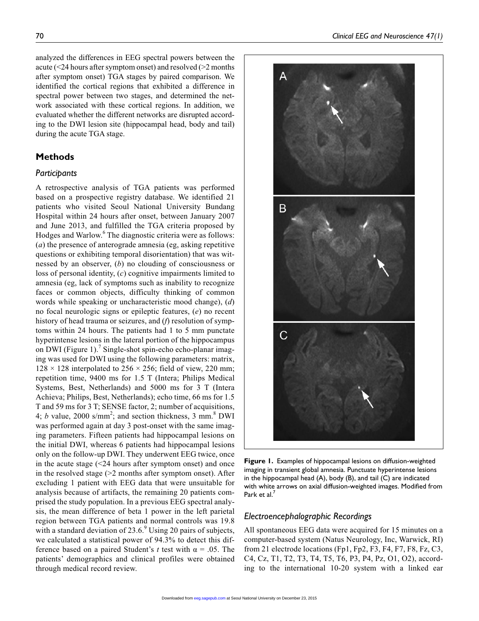analyzed the differences in EEG spectral powers between the acute (<24 hours after symptom onset) and resolved (>2 months after symptom onset) TGA stages by paired comparison. We identified the cortical regions that exhibited a difference in spectral power between two stages, and determined the network associated with these cortical regions. In addition, we evaluated whether the different networks are disrupted according to the DWI lesion site (hippocampal head, body and tail) during the acute TGA stage.

## **Methods**

### *Participants*

A retrospective analysis of TGA patients was performed based on a prospective registry database. We identified 21 patients who visited Seoul National University Bundang Hospital within 24 hours after onset, between January 2007 and June 2013, and fulfilled the TGA criteria proposed by Hodges and Warlow.<sup>6</sup> The diagnostic criteria were as follows: (*a*) the presence of anterograde amnesia (eg, asking repetitive questions or exhibiting temporal disorientation) that was witnessed by an observer, (*b*) no clouding of consciousness or loss of personal identity, (*c*) cognitive impairments limited to amnesia (eg, lack of symptoms such as inability to recognize faces or common objects, difficulty thinking of common words while speaking or uncharacteristic mood change), (*d*) no focal neurologic signs or epileptic features, (*e*) no recent history of head trauma or seizures, and (*f*) resolution of symptoms within 24 hours. The patients had 1 to 5 mm punctate hyperintense lesions in the lateral portion of the hippocampus on DWI (Figure 1).<sup>7</sup> Single-shot spin-echo echo-planar imaging was used for DWI using the following parameters: matrix,  $128 \times 128$  interpolated to 256  $\times$  256; field of view, 220 mm; repetition time, 9400 ms for 1.5 T (Intera; Philips Medical Systems, Best, Netherlands) and 5000 ms for 3 T (Intera Achieva; Philips, Best, Netherlands); echo time, 66 ms for 1.5 T and 59 ms for 3 T; SENSE factor, 2; number of acquisitions, 4;  $b$  value, 2000 s/mm<sup>2</sup>; and section thickness,  $3 \text{ mm}$ .<sup>8</sup> DWI was performed again at day 3 post-onset with the same imaging parameters. Fifteen patients had hippocampal lesions on the initial DWI, whereas 6 patients had hippocampal lesions only on the follow-up DWI. They underwent EEG twice, once in the acute stage (<24 hours after symptom onset) and once in the resolved stage  $(>2$  months after symptom onset). After excluding 1 patient with EEG data that were unsuitable for analysis because of artifacts, the remaining 20 patients comprised the study population. In a previous EEG spectral analysis, the mean difference of beta 1 power in the left parietal region between TGA patients and normal controls was 19.8 with a standard deviation of  $23.6$ .<sup>9</sup> Using 20 pairs of subjects, we calculated a statistical power of 94.3% to detect this difference based on a paired Student's *t* test with  $\alpha = .05$ . The patients' demographics and clinical profiles were obtained through medical record review.



**Figure 1.** Examples of hippocampal lesions on diffusion-weighted imaging in transient global amnesia. Punctuate hyperintense lesions in the hippocampal head (A), body (B), and tail (C) are indicated with white arrows on axial diffusion-weighted images. Modified from Park et al.<sup>7</sup>

#### *Electroencephalographic Recordings*

All spontaneous EEG data were acquired for 15 minutes on a computer-based system (Natus Neurology, Inc, Warwick, RI) from 21 electrode locations (Fp1, Fp2, F3, F4, F7, F8, Fz, C3, C4, Cz, T1, T2, T3, T4, T5, T6, P3, P4, Pz, O1, O2), according to the international 10-20 system with a linked ear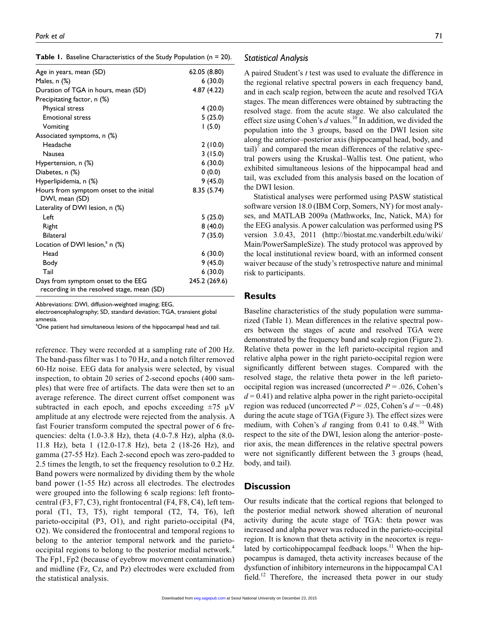|  | Table 1. Baseline Characteristics of the Study Population ( $n = 20$ ). |  |  |  |
|--|-------------------------------------------------------------------------|--|--|--|
|--|-------------------------------------------------------------------------|--|--|--|

| Age in years, mean (SD)                    | 62.05 (8.80)  |
|--------------------------------------------|---------------|
| Males, n (%)                               | 6(30.0)       |
| Duration of TGA in hours, mean (SD)        | 4.87 (4.22)   |
| Precipitating factor, n (%)                |               |
| Physical stress                            | 4(20.0)       |
| <b>Emotional stress</b>                    | 5(25.0)       |
| Vomiting                                   | 1(5.0)        |
| Associated symptoms, n (%)                 |               |
| Headache                                   | 2(10.0)       |
| Nausea                                     | 3(15.0)       |
| Hypertension, n (%)                        | 6(30.0)       |
| Diabetes, n (%)                            | 0(0.0)        |
| Hyperlipidemia, n (%)                      | 9(45.0)       |
| Hours from symptom onset to the initial    | 8.35 (5.74)   |
| DWI, mean (SD)                             |               |
| Laterality of DWI lesion, n (%)            |               |
| Left                                       | 5(25.0)       |
| Right                                      | 8(40.0)       |
| Bilateral                                  | 7(35.0)       |
| Location of DWI lesion, $\degree$ n (%)    |               |
| Head                                       | 6(30.0)       |
| Body                                       | 9(45.0)       |
| Tail                                       | 6(30.0)       |
| Days from symptom onset to the EEG         | 245.2 (269.6) |
| recording in the resolved stage, mean (SD) |               |

Abbreviations: DWI, diffusion-weighted imaging; EEG,

electroencephalography; SD, standard deviation; TGA, transient global amnesia.

<sup>a</sup>One patient had simultaneous lesions of the hippocampal head and tail.

reference. They were recorded at a sampling rate of 200 Hz. The band-pass filter was 1 to 70 Hz, and a notch filter removed 60-Hz noise. EEG data for analysis were selected, by visual inspection, to obtain 20 series of 2-second epochs (400 samples) that were free of artifacts. The data were then set to an average reference. The direct current offset component was subtracted in each epoch, and epochs exceeding  $\pm 75$   $\mu$ V amplitude at any electrode were rejected from the analysis. A fast Fourier transform computed the spectral power of 6 frequencies: delta (1.0-3.8 Hz), theta (4.0-7.8 Hz), alpha (8.0- 11.8 Hz), beta 1 (12.0-17.8 Hz), beta 2 (18-26 Hz), and gamma (27-55 Hz). Each 2-second epoch was zero-padded to 2.5 times the length, to set the frequency resolution to 0.2 Hz. Band powers were normalized by dividing them by the whole band power (1-55 Hz) across all electrodes. The electrodes were grouped into the following 6 scalp regions: left frontocentral (F3, F7, C3), right frontocentral (F4, F8, C4), left temporal (T1, T3, T5), right temporal (T2, T4, T6), left parieto-occipital (P3, O1), and right parieto-occipital (P4, O2). We considered the frontocentral and temporal regions to belong to the anterior temporal network and the parietooccipital regions to belong to the posterior medial network.<sup>4</sup> The Fp1, Fp2 (because of eyebrow movement contamination) and midline (Fz, Cz, and Pz) electrodes were excluded from the statistical analysis.

A paired Student's *t* test was used to evaluate the difference in the regional relative spectral powers in each frequency band, and in each scalp region, between the acute and resolved TGA stages. The mean differences were obtained by subtracting the resolved stage. from the acute stage. We also calculated the effect size using Cohen's  $d$  values.<sup>10</sup> In addition, we divided the population into the 3 groups, based on the DWI lesion site along the anterior–posterior axis (hippocampal head, body, and  $\text{tail})^7$  and compared the mean differences of the relative spectral powers using the Kruskal–Wallis test. One patient, who exhibited simultaneous lesions of the hippocampal head and tail, was excluded from this analysis based on the location of the DWI lesion.

Statistical analyses were performed using PASW statistical software version 18.0 (IBM Corp, Somers, NY) for most analyses, and MATLAB 2009a (Mathworks, Inc, Natick, MA) for the EEG analysis. A power calculation was performed using PS version 3.0.43, 2011 (http://biostat.mc.vanderbilt.edu/wiki/ Main/PowerSampleSize). The study protocol was approved by the local institutional review board, with an informed consent waiver because of the study's retrospective nature and minimal risk to participants.

## **Results**

Baseline characteristics of the study population were summarized (Table 1). Mean differences in the relative spectral powers between the stages of acute and resolved TGA were demonstrated by the frequency band and scalp region (Figure 2). Relative theta power in the left parieto-occipital region and relative alpha power in the right parieto-occipital region were significantly different between stages. Compared with the resolved stage, the relative theta power in the left parietooccipital region was increased (uncorrected  $P = .026$ , Cohen's  $d = 0.41$ ) and relative alpha power in the right parieto-occipital region was reduced (uncorrected  $P = .025$ , Cohen's  $d = -0.48$ ) during the acute stage of TGA (Figure 3). The effect sizes were medium, with Cohen's *d* ranging from 0.41 to 0.48.<sup>10</sup> With respect to the site of the DWI, lesion along the anterior–posterior axis, the mean differences in the relative spectral powers were not significantly different between the 3 groups (head, body, and tail).

## **Discussion**

Our results indicate that the cortical regions that belonged to the posterior medial network showed alteration of neuronal activity during the acute stage of TGA: theta power was increased and alpha power was reduced in the parieto-occipital region. It is known that theta activity in the neocortex is regulated by corticohippocampal feedback loops.<sup>11</sup> When the hippocampus is damaged, theta activity increases because of the dysfunction of inhibitory interneurons in the hippocampal CA1 field.<sup>12</sup> Therefore, the increased theta power in our study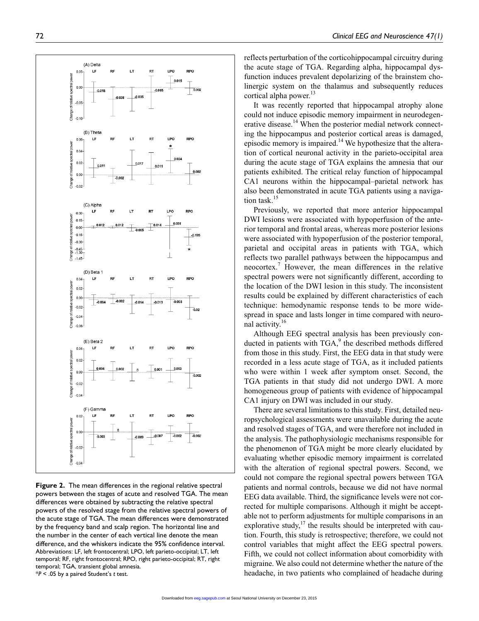

**Figure 2.** The mean differences in the regional relative spectral powers between the stages of acute and resolved TGA. The mean differences were obtained by subtracting the relative spectral powers of the resolved stage from the relative spectral powers of the acute stage of TGA. The mean differences were demonstrated by the frequency band and scalp region. The horizontal line and the number in the center of each vertical line denote the mean difference, and the whiskers indicate the 95% confidence interval. Abbreviations: LF, left frontocentral; LPO, left parieto-occipital; LT, left temporal; RF, right frontocentral; RPO, right parieto-occipital; RT, right temporal; TGA, transient global amnesia. \**P* < .05 by a paired Student's *t* test.

reflects perturbation of the corticohippocampal circuitry during the acute stage of TGA. Regarding alpha, hippocampal dysfunction induces prevalent depolarizing of the brainstem cholinergic system on the thalamus and subsequently reduces cortical alpha power.<sup>13</sup>

It was recently reported that hippocampal atrophy alone could not induce episodic memory impairment in neurodegenerative disease.<sup>14</sup> When the posterior medial network connecting the hippocampus and posterior cortical areas is damaged, episodic memory is impaired.<sup>14</sup> We hypothesize that the alteration of cortical neuronal activity in the parieto-occipital area during the acute stage of TGA explains the amnesia that our patients exhibited. The critical relay function of hippocampal CA1 neurons within the hippocampal–parietal network has also been demonstrated in acute TGA patients using a navigation task.<sup>15</sup>

Previously, we reported that more anterior hippocampal DWI lesions were associated with hypoperfusion of the anterior temporal and frontal areas, whereas more posterior lesions were associated with hypoperfusion of the posterior temporal, parietal and occipital areas in patients with TGA, which reflects two parallel pathways between the hippocampus and neocortex.<sup>7</sup> However, the mean differences in the relative spectral powers were not significantly different, according to the location of the DWI lesion in this study. The inconsistent results could be explained by different characteristics of each technique: hemodynamic response tends to be more widespread in space and lasts longer in time compared with neuronal activity.<sup>16</sup>

Although EEG spectral analysis has been previously conducted in patients with TGA, $9$  the described methods differed from those in this study. First, the EEG data in that study were recorded in a less acute stage of TGA, as it included patients who were within 1 week after symptom onset. Second, the TGA patients in that study did not undergo DWI. A more homogeneous group of patients with evidence of hippocampal CA1 injury on DWI was included in our study.

There are several limitations to this study. First, detailed neuropsychological assessments were unavailable during the acute and resolved stages of TGA, and were therefore not included in the analysis. The pathophysiologic mechanisms responsible for the phenomenon of TGA might be more clearly elucidated by evaluating whether episodic memory impairment is correlated with the alteration of regional spectral powers. Second, we could not compare the regional spectral powers between TGA patients and normal controls, because we did not have normal EEG data available. Third, the significance levels were not corrected for multiple comparisons. Although it might be acceptable not to perform adjustments for multiple comparisons in an explorative study, $17$  the results should be interpreted with caution. Fourth, this study is retrospective; therefore, we could not control variables that might affect the EEG spectral powers. Fifth, we could not collect information about comorbidity with migraine. We also could not determine whether the nature of the headache, in two patients who complained of headache during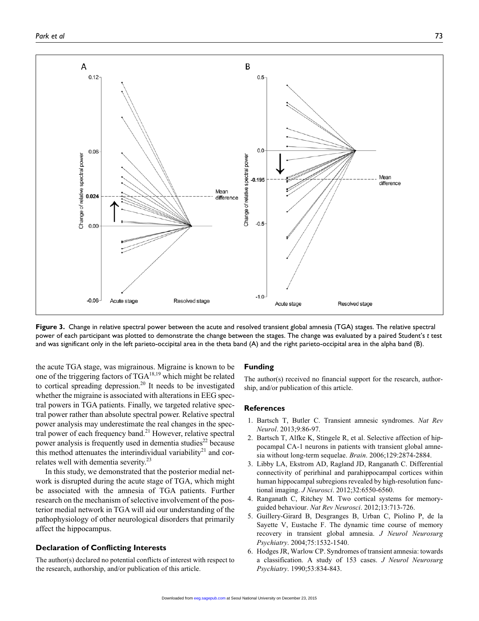

**Figure 3.** Change in relative spectral power between the acute and resolved transient global amnesia (TGA) stages. The relative spectral power of each participant was plotted to demonstrate the change between the stages. The change was evaluated by a paired Student's *t* test and was significant only in the left parieto-occipital area in the theta band (A) and the right parieto-occipital area in the alpha band (B).

the acute TGA stage, was migrainous. Migraine is known to be one of the triggering factors of TGA18,19 which might be related to cortical spreading depression.<sup>20</sup> It needs to be investigated whether the migraine is associated with alterations in EEG spectral powers in TGA patients. Finally, we targeted relative spectral power rather than absolute spectral power. Relative spectral power analysis may underestimate the real changes in the spectral power of each frequency band. $^{21}$  However, relative spectral power analysis is frequently used in dementia studies<sup>22</sup> because this method attenuates the interindividual variability $21$  and correlates well with dementia severity.<sup>23</sup>

In this study, we demonstrated that the posterior medial network is disrupted during the acute stage of TGA, which might be associated with the amnesia of TGA patients. Further research on the mechanism of selective involvement of the posterior medial network in TGA will aid our understanding of the pathophysiology of other neurological disorders that primarily affect the hippocampus.

#### **Declaration of Conflicting Interests**

The author(s) declared no potential conflicts of interest with respect to the research, authorship, and/or publication of this article.

#### **Funding**

The author(s) received no financial support for the research, authorship, and/or publication of this article.

#### **References**

- 1. Bartsch T, Butler C. Transient amnesic syndromes. *Nat Rev Neurol*. 2013;9:86-97.
- 2. Bartsch T, Alfke K, Stingele R, et al. Selective affection of hippocampal CA-1 neurons in patients with transient global amnesia without long-term sequelae. *Brain*. 2006;129:2874-2884.
- 3. Libby LA, Ekstrom AD, Ragland JD, Ranganath C. Differential connectivity of perirhinal and parahippocampal cortices within human hippocampal subregions revealed by high-resolution functional imaging. *J Neurosci*. 2012;32:6550-6560.
- 4. Ranganath C, Ritchey M. Two cortical systems for memoryguided behaviour. *Nat Rev Neurosci*. 2012;13:713-726.
- 5. Guillery-Girard B, Desgranges B, Urban C, Piolino P, de la Sayette V, Eustache F. The dynamic time course of memory recovery in transient global amnesia. *J Neurol Neurosurg Psychiatry*. 2004;75:1532-1540.
- 6. Hodges JR, Warlow CP. Syndromes of transient amnesia: towards a classification. A study of 153 cases. *J Neurol Neurosurg Psychiatry*. 1990;53:834-843.